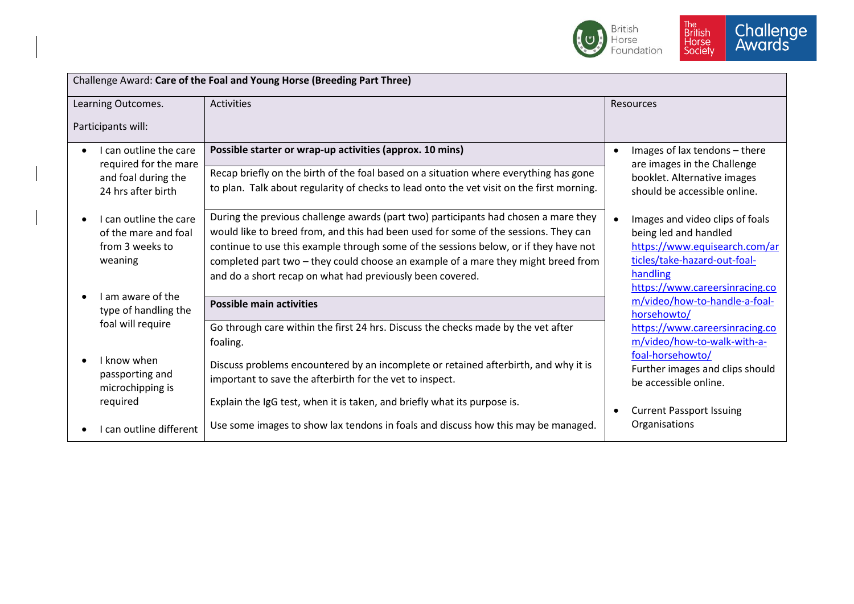

| Challenge Award: Care of the Foal and Young Horse (Breeding Part Three)      |                                                                                                                                                                                                                                                                                                                                                                                                                      |                                                                                                                                                                         |  |  |
|------------------------------------------------------------------------------|----------------------------------------------------------------------------------------------------------------------------------------------------------------------------------------------------------------------------------------------------------------------------------------------------------------------------------------------------------------------------------------------------------------------|-------------------------------------------------------------------------------------------------------------------------------------------------------------------------|--|--|
| Learning Outcomes.                                                           | <b>Activities</b>                                                                                                                                                                                                                                                                                                                                                                                                    | <b>Resources</b>                                                                                                                                                        |  |  |
| Participants will:                                                           |                                                                                                                                                                                                                                                                                                                                                                                                                      |                                                                                                                                                                         |  |  |
| I can outline the care                                                       | Possible starter or wrap-up activities (approx. 10 mins)                                                                                                                                                                                                                                                                                                                                                             | Images of lax tendons - there<br>$\bullet$                                                                                                                              |  |  |
| required for the mare<br>and foal during the<br>24 hrs after birth           | Recap briefly on the birth of the foal based on a situation where everything has gone<br>to plan. Talk about regularity of checks to lead onto the vet visit on the first morning.                                                                                                                                                                                                                                   | are images in the Challenge<br>booklet. Alternative images<br>should be accessible online.                                                                              |  |  |
| I can outline the care<br>of the mare and foal<br>from 3 weeks to<br>weaning | During the previous challenge awards (part two) participants had chosen a mare they<br>would like to breed from, and this had been used for some of the sessions. They can<br>continue to use this example through some of the sessions below, or if they have not<br>completed part two - they could choose an example of a mare they might breed from<br>and do a short recap on what had previously been covered. | Images and video clips of foals<br>being led and handled<br>https://www.equisearch.com/ar<br>ticles/take-hazard-out-foal-<br>handling<br>https://www.careersinracing.co |  |  |
| I am aware of the<br>type of handling the<br>foal will require               | <b>Possible main activities</b>                                                                                                                                                                                                                                                                                                                                                                                      | m/video/how-to-handle-a-foal-<br>horsehowto/                                                                                                                            |  |  |
|                                                                              | Go through care within the first 24 hrs. Discuss the checks made by the vet after<br>foaling.                                                                                                                                                                                                                                                                                                                        | https://www.careersinracing.co<br>m/video/how-to-walk-with-a-                                                                                                           |  |  |
| I know when<br>passporting and<br>microchipping is                           | Discuss problems encountered by an incomplete or retained afterbirth, and why it is<br>important to save the afterbirth for the vet to inspect.                                                                                                                                                                                                                                                                      | foal-horsehowto/<br>Further images and clips should<br>be accessible online.                                                                                            |  |  |
| required                                                                     | Explain the IgG test, when it is taken, and briefly what its purpose is.                                                                                                                                                                                                                                                                                                                                             | <b>Current Passport Issuing</b>                                                                                                                                         |  |  |
| I can outline different                                                      | Use some images to show lax tendons in foals and discuss how this may be managed.                                                                                                                                                                                                                                                                                                                                    | Organisations                                                                                                                                                           |  |  |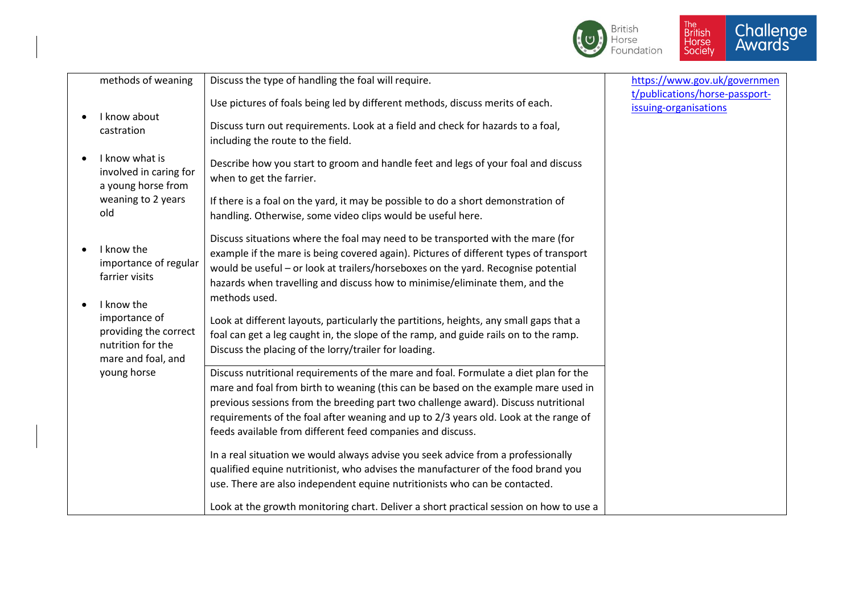

| methods of weaning                                                                              | Discuss the type of handling the foal will require.                                                                                                                                                                                                                                                                                                                                                                    | https://www.gov.uk/governmen                            |
|-------------------------------------------------------------------------------------------------|------------------------------------------------------------------------------------------------------------------------------------------------------------------------------------------------------------------------------------------------------------------------------------------------------------------------------------------------------------------------------------------------------------------------|---------------------------------------------------------|
| I know about                                                                                    | Use pictures of foals being led by different methods, discuss merits of each.                                                                                                                                                                                                                                                                                                                                          | t/publications/horse-passport-<br>issuing-organisations |
| castration                                                                                      | Discuss turn out requirements. Look at a field and check for hazards to a foal,<br>including the route to the field.                                                                                                                                                                                                                                                                                                   |                                                         |
| I know what is<br>involved in caring for<br>a young horse from                                  | Describe how you start to groom and handle feet and legs of your foal and discuss<br>when to get the farrier.                                                                                                                                                                                                                                                                                                          |                                                         |
| weaning to 2 years<br>old                                                                       | If there is a foal on the yard, it may be possible to do a short demonstration of<br>handling. Otherwise, some video clips would be useful here.                                                                                                                                                                                                                                                                       |                                                         |
| I know the<br>importance of regular<br>farrier visits                                           | Discuss situations where the foal may need to be transported with the mare (for<br>example if the mare is being covered again). Pictures of different types of transport<br>would be useful - or look at trailers/horseboxes on the yard. Recognise potential<br>hazards when travelling and discuss how to minimise/eliminate them, and the                                                                           |                                                         |
| I know the<br>importance of<br>providing the correct<br>nutrition for the<br>mare and foal, and | methods used.<br>Look at different layouts, particularly the partitions, heights, any small gaps that a<br>foal can get a leg caught in, the slope of the ramp, and guide rails on to the ramp.<br>Discuss the placing of the lorry/trailer for loading.                                                                                                                                                               |                                                         |
| young horse                                                                                     | Discuss nutritional requirements of the mare and foal. Formulate a diet plan for the<br>mare and foal from birth to weaning (this can be based on the example mare used in<br>previous sessions from the breeding part two challenge award). Discuss nutritional<br>requirements of the foal after weaning and up to 2/3 years old. Look at the range of<br>feeds available from different feed companies and discuss. |                                                         |
|                                                                                                 | In a real situation we would always advise you seek advice from a professionally<br>qualified equine nutritionist, who advises the manufacturer of the food brand you<br>use. There are also independent equine nutritionists who can be contacted.<br>Look at the growth monitoring chart. Deliver a short practical session on how to use a                                                                          |                                                         |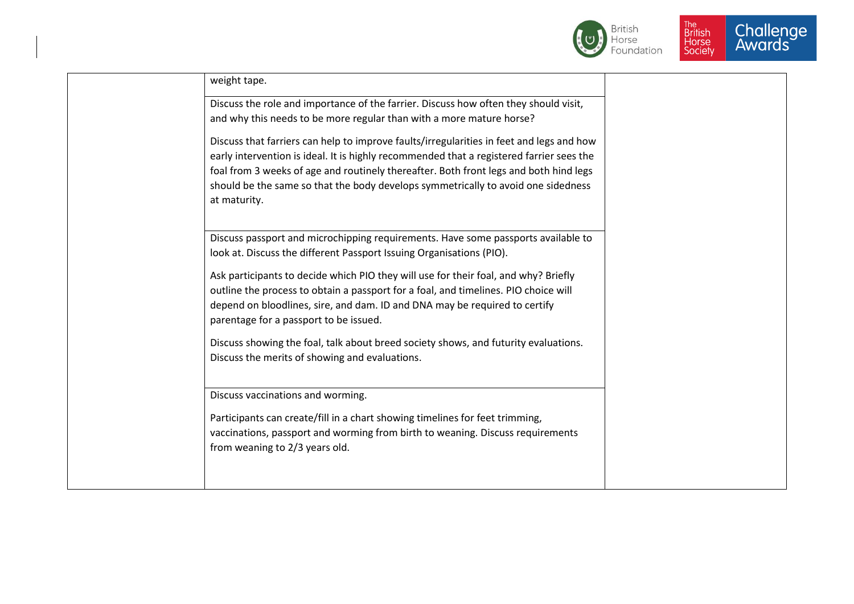



| weight tape.                                                                             |  |
|------------------------------------------------------------------------------------------|--|
| Discuss the role and importance of the farrier. Discuss how often they should visit,     |  |
| and why this needs to be more regular than with a more mature horse?                     |  |
| Discuss that farriers can help to improve faults/irregularities in feet and legs and how |  |
| early intervention is ideal. It is highly recommended that a registered farrier sees the |  |
| foal from 3 weeks of age and routinely thereafter. Both front legs and both hind legs    |  |
| should be the same so that the body develops symmetrically to avoid one sidedness        |  |
| at maturity.                                                                             |  |
|                                                                                          |  |
| Discuss passport and microchipping requirements. Have some passports available to        |  |
| look at. Discuss the different Passport Issuing Organisations (PIO).                     |  |
| Ask participants to decide which PIO they will use for their foal, and why? Briefly      |  |
| outline the process to obtain a passport for a foal, and timelines. PIO choice will      |  |
| depend on bloodlines, sire, and dam. ID and DNA may be required to certify               |  |
| parentage for a passport to be issued.                                                   |  |
| Discuss showing the foal, talk about breed society shows, and futurity evaluations.      |  |
| Discuss the merits of showing and evaluations.                                           |  |
|                                                                                          |  |
| Discuss vaccinations and worming.                                                        |  |
| Participants can create/fill in a chart showing timelines for feet trimming,             |  |
| vaccinations, passport and worming from birth to weaning. Discuss requirements           |  |
| from weaning to 2/3 years old.                                                           |  |
|                                                                                          |  |
|                                                                                          |  |